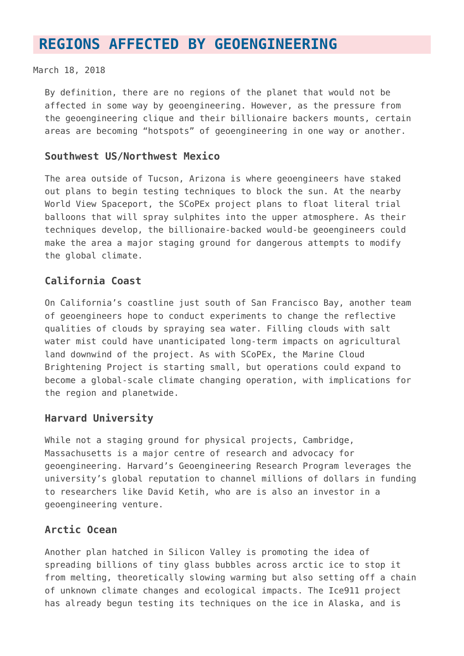# **[REGIONS AFFECTED BY GEOENGINEERING](https://www.geoengineeringmonitor.org/regions/)**

#### March 18, 2018

By definition, there are no regions of the planet that would not be affected in some way by geoengineering. However, as the pressure from the geoengineering clique and their billionaire backers mounts, certain areas are becoming "hotspots" of geoengineering in one way or another.

#### **Southwest US/Northwest Mexico**

The area outside of Tucson, Arizona is where geoengineers have staked out plans to begin testing techniques to block the sun. At the nearby World View Spaceport, the SCoPEx project plans to float literal trial balloons that will spray sulphites into the upper atmosphere. As their techniques develop, the billionaire-backed would-be geoengineers could make the area a major staging ground for dangerous attempts to modify the global climate.

## **California Coast**

On California's coastline just south of San Francisco Bay, another team of geoengineers hope to conduct experiments to change the reflective qualities of clouds by spraying sea water. Filling clouds with salt water mist could have unanticipated long-term impacts on agricultural land downwind of the project. As with SCoPEx, the Marine Cloud Brightening Project is starting small, but operations could expand to become a global-scale climate changing operation, with implications for the region and planetwide.

#### **Harvard University**

While not a staging ground for physical projects, Cambridge, Massachusetts is a major centre of research and advocacy for geoengineering. Harvard's Geoengineering Research Program leverages the university's global reputation to channel millions of dollars in funding to researchers like David Ketih, who are is also an investor in a geoengineering venture.

#### **Arctic Ocean**

Another plan hatched in Silicon Valley is promoting the idea of spreading billions of tiny glass bubbles across arctic ice to stop it from melting, theoretically slowing warming but also setting off a chain of unknown climate changes and ecological impacts. The Ice911 project has already begun testing its techniques on the ice in Alaska, and is